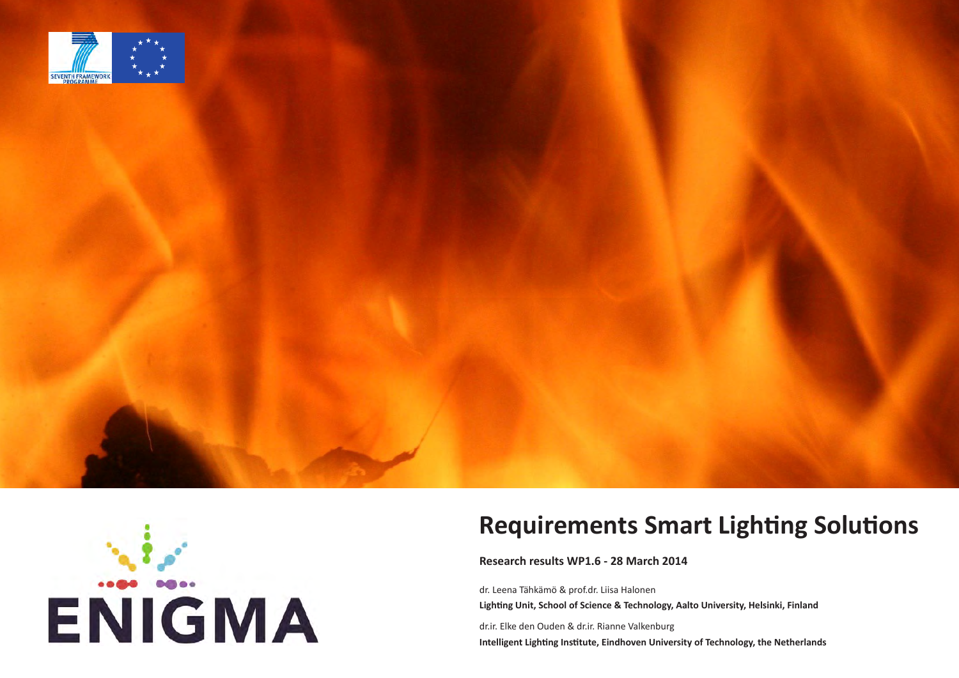





# **Requirements Smart Lighting Solutions**

**Research results WP1.6 - 28 March 2014**

dr. Leena Tähkämö & prof.dr. Liisa Halonen **Lighting Unit, School of Science & Technology, Aalto University, Helsinki, Finland**

dr.ir. Elke den Ouden & dr.ir. Rianne Valkenburg **Intelligent Lighting Institute, Eindhoven University of Technology, the Netherlands**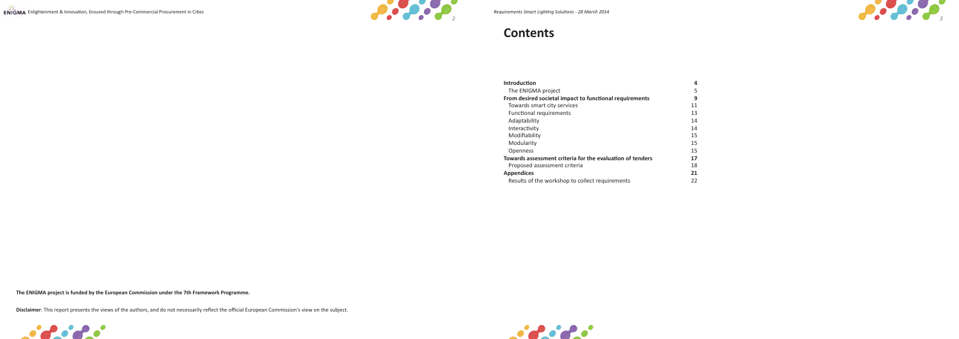



# **Contents**

| <b>Introduction</b>                                       | 4  |
|-----------------------------------------------------------|----|
| The ENIGMA project                                        | 5  |
| From desired societal impact to functional requirements   | 9  |
| Towards smart city services                               | 11 |
| <b>Functional requirements</b>                            | 13 |
| Adaptability                                              | 14 |
| Interactivity                                             | 14 |
| Modifiability                                             | 15 |
| Modularity                                                | 15 |
| <b>Openness</b>                                           | 15 |
| Towards assessment criteria for the evaluation of tenders | 17 |
| Proposed assessment criteria                              | 18 |
| <b>Appendices</b>                                         | 21 |
| Results of the workshop to collect requirements           | 22 |



**The ENIGMA project is funded by the European Commission under the 7th Framework Programme.**

**Disclaimer**: This report presents the views of the authors, and do not necessarily reflect the official European Commission's view on the subject.

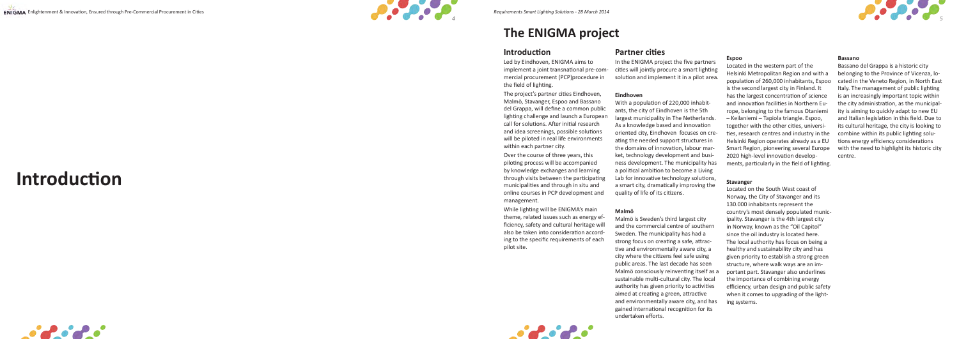



# **The ENIGMA project**

### **Introduction**

Led by Eindhoven, ENIGMA aims to implement a joint transnational pre-com mercial procurement (PCP)procedure in the field of lighting.

The project's partner cities Eindhoven, Malmö, Stavanger, Espoo and Bassano del Grappa, will define a common public lighting challenge and launch a European call for solutions. After initial research and idea screenings, possible solutions will be piloted in real life environments within each partner city.

Over the course of three years, this piloting process will be accompanied by knowledge exchanges and learning through visits between the participating municipalities and through in situ and online courses in PCP development and management.

While lighting will be ENIGMA's main theme, related issues such as energy efficiency, safety and cultural heritage will also be taken into consideration accord ing to the specific requirements of each pilot site.

### **Partner cities**

In the ENIGMA project the five partners cities will jointly procure a smart lighting solution and implement it in a pilot area.

### **Eindhoven**

With a population of 220,000 inhabit ants, the city of Eindhoven is the 5th largest municipality in The Netherlands. As a knowledge based and innovation oriented city, Eindhoven focuses on cre ating the needed support structures in the domains of innovation, labour mar ket, technology development and busi ness development. The municipality has a political ambition to become a Living Lab for innovative technology solutions, a smart city, dramatically improving the quality of life of its citizens.

### **Malmö**

Malmö is Sweden's third largest city and the commercial centre of southern Sweden. The municipality has had a strong focus on creating a safe, attrac tive and environmentally aware city, a city where the citizens feel safe using public areas. The last decade has seen Malmö consciously reinventing itself as a sustainable multi-cultural city. The local authority has given priority to activities aimed at creating a green, attractive and environmentally aware city, and has gained international recognition for its undertaken efforts.

### **Espoo**

Located in the western part of the Helsinki Metropolitan Region and with a population of 260,000 inhabitants, Espoo is the second largest city in Finland. It has the largest concentration of science and innovation facilities in Northern Eu rope, belonging to the famous Otaniemi – Keilaniemi – Tapiola triangle. Espoo, together with the other cities, universi ties, research centres and industry in the Helsinki Region operates already as a EU Smart Region, pioneering several Europe 2020 high-level innovation develop ments, particularly in the field of lighting.

### **Stavanger**

Located on the South West coast of Norway, the City of Stavanger and its 130.000 inhabitants represent the country's most densely populated munic ipality. Stavanger is the 4th largest city in Norway, known as the "Oil Capitol" since the oil industry is located here. The local authority has focus on being a healthy and sustainability city and has given priority to establish a strong green structure, where walk ways are an im portant part. Stavanger also underlines the importance of combining energy efficiency, urban design and public safety when it comes to upgrading of the light ing systems.

### **Bassano**

Bassano del Grappa is a historic city belonging to the Province of Vicenza, lo cated in the Veneto Region, in North East Italy. The management of public lighting is an increasingly important topic within the city administration, as the municipal ity is aiming to quickly adapt to new EU and Italian legislation in this field. Due to its cultural heritage, the city is looking to combine within its public lighting solu tions energy efficiency considerations with the need to highlight its historic city centre.



**Introduction**





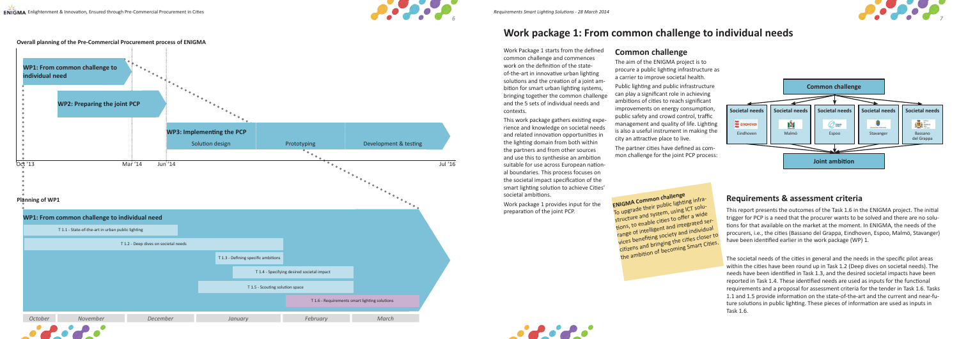







To upgrade their public lighting infrastructure and system, using ICT solutions, to enable cities to offer a wide range of intelligent and integrated services benefiting society and individua<sup>l</sup> citizens and bringing the cities closer to the ambition of becoming Smart Cities.

Work Package 1 starts from the defined common challenge and commences work on the definition of the stateof-the-art in innovative urban lighting solutions and the creation of a joint ambition for smart urban lighting systems, bringing together the common challenge and the 5 sets of individual needs and contexts.

This work package gathers existing experience and knowledge on societal needs and related innovation opportunities in the lighting domain from both within the partners and from other sources and use this to synthesise an ambition suitable for use across European national boundaries. This process focuses on the societal impact specification of the smart lighting solution to achieve Cities' societal ambitions.

Work package 1 provides input for the preparation of the joint PCP.

### **Common challenge**

The aim of the ENIGMA project is to procure a public lighting infrastructure as a carrier to improve societal health. Public lighting and public infrastructure can play a significant role in achieving ambitions of cities to reach significant improvements on energy consumption, public safety and crowd control, traffic management and quality of life. Lighting is also a useful instrument in making the city an attractive place to live.

The partner cities have defined as common challenge for the joint PCP process:



## **Work package 1: From common challenge to individual needs**



### **Requirements & assessment criteria**

This report presents the outcomes of the Task 1.6 in the ENIGMA project. The initial trigger for PCP is a need that the procurer wants to be solved and there are no solutions for that available on the market at the moment. In ENIGMA, the needs of the procurers, i.e., the cities (Bassano del Grappa, Eindhoven, Espoo, Malmö, Stavanger) have been identified earlier in the work package (WP) 1.

The societal needs of the cities in general and the needs in the specific pilot areas within the cities have been round up in Task 1.2 (Deep dives on societal needs). The needs have been identified in Task 1.3, and the desired societal impacts have been reported in Task 1.4. These identified needs are used as inputs for the functional requirements and a proposal for assessment criteria for the tender in Task 1.6. Tasks 1.1 and 1.5 provide information on the state-of-the-art and the current and near-future solutions in public lighting. These pieces of information are used as inputs in Task 1.6.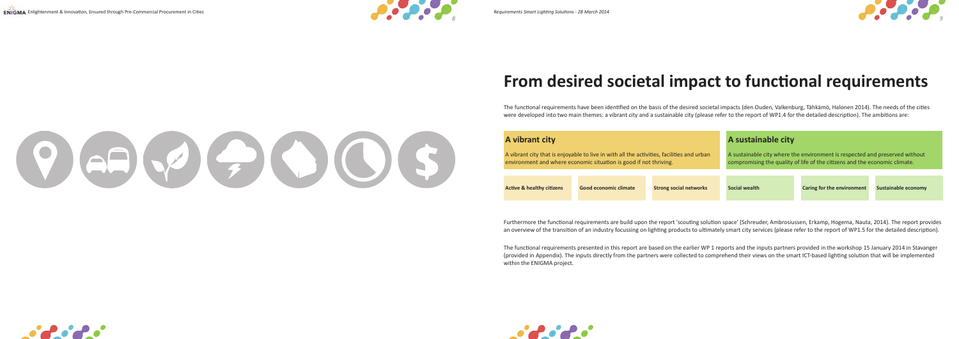$(9) 69 (7) 6) 0 (5)$ 







# **From desired societal impact to functional requirements**

The functional requirements have been identified on the basis of the desired societal impacts (den Ouden, Valkenburg, Tähkämö, Halonen 2014). The needs of the cities were developed into two main themes: a vibrant city and a sustainable city (please refer to the report of WP1.4 for the detailed description). The ambitions are:

Furthermore the functional requirements are build upon the report 'scouting solution space' (Schreuder, Ambrosiussen, Erkamp, Hogema, Nauta, 2014). The report provides an overview of the transition of an industry focussing on lighting products to ultimately smart city services (please refer to the report of WP1.5 for the detailed description).

The functional requirements presented in this report are based on the earlier WP 1 reports and the inputs partners provided in the workshop 15 January 2014 in Stavanger (provided in Appendix). The inputs directly from the partners were collected to comprehend their views on the smart ICT-based lighting solution that will be implemented within the ENIGMA project.





| A vibrant city                                                                                                                                                 |                       |                               | A sustainable city                                                                                                                                        |                                   |                     |
|----------------------------------------------------------------------------------------------------------------------------------------------------------------|-----------------------|-------------------------------|-----------------------------------------------------------------------------------------------------------------------------------------------------------|-----------------------------------|---------------------|
| A vibrant city that is enjoyable to live in with all the activities, facilities and urban<br>environment and where economic situation is good if not thriving. |                       |                               | A sustainable city where the environment is respected and preserved without<br>compromising the quality of life of the citizens and the economic climate. |                                   |                     |
| <b>Active &amp; healthy citizens</b>                                                                                                                           | Good economic climate | <b>Strong social networks</b> | Social wealth                                                                                                                                             | <b>Caring for the environment</b> | Sustainable economy |

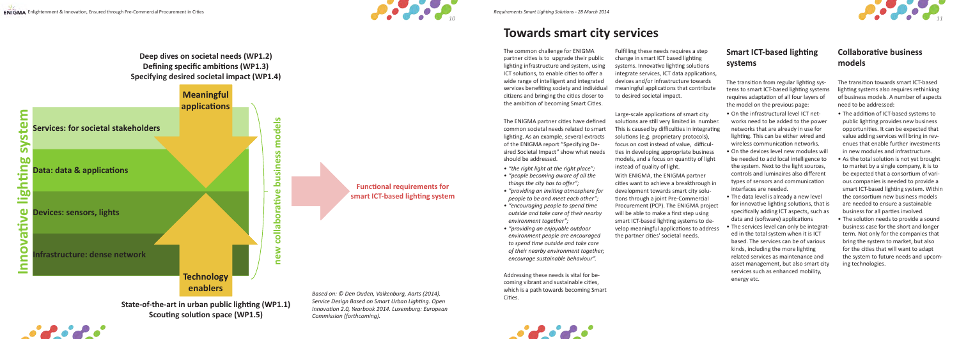

**Deep dives on societal needs (WP1.2) Defining specific ambitions (WP1.3) Specifying desired societal impact (WP1.4)**

> **Functional requirements for smart ICT-based lighting system**



The ENIGMA partner cities have defined common societal needs related to smart lighting. As an example, several extracts of the ENIGMA report "Specifying Desired Societal Impact" show what needs should be addressed.



# **Towards smart city services**

The common challenge for ENIGMA partner cities is to upgrade their public lighting infrastructure and system, using ICT solutions, to enable cities to offer a wide range of intelligent and integrated services benefiting society and individual citizens and bringing the cities closer to the ambition of becoming Smart Cities.

Based on: © Den Ouden, Valkenburg, Aarts (2014). **Cities.** Cities.

ENIGMA Enlightenment & Innovation, Ensured through Pre-Commercial Procurement in Cities *Requirements Smart Lighting Solutions - 28 March 2014* 

- *• "the right light at the right place"; • "people becoming aware of all the things the city has to offer"; • "providing an inviting atmosphere for people to be and meet each other"; • "encouraging people to spend time outside and take care of their nearby environment together";*
- *• "providing an enjoyable outdoor environment people are encouraged to spend time outside and take care of their nearby environment together; encourage sustainable behaviour".*

Addressing these needs is vital for becoming vibrant and sustainable cities, which is a path towards becoming Smart

*Service Design Based on Smart Urban Lighting. Open Innovation 2.0, Yearbook 2014. Luxemburg: European* 

*Commission (forthcoming).*

 $\mathcal{L}$  ,  $\mathcal{L}$  ,  $\mathcal{L}$  ,  $\mathcal{L}$ 

Fulfilling these needs requires a step change in smart ICT based lighting systems. Innovative lighting solutions integrate services, ICT data applications, devices and/or infrastructure towards meaningful applications that contribute to desired societal impact.

Large-scale applications of smart city solutions are still very limited in number. This is caused by difficulties in integrating solutions (e.g. proprietary protocols), focus on cost instead of value, difficulties in developing appropriate business models, and a focus on quantity of light instead of quality of light.

With ENIGMA, the ENIGMA partner cities want to achieve a breakthrough in development towards smart city solutions through a joint Pre-Commercial Procurement (PCP). The ENIGMA project will be able to make a first step using smart ICT-based lighting systems to develop meaningful applications to address the partner cities' societal needs.

### **Smart ICT-based lighting systems**

The transition from regular lighting systems to smart ICT-based lighting systems requires adaptation of all four layers of the model on the previous page:

- On the infrastructural level ICT networks need to be added to the power networks that are already in use for lighting. This can be either wired and wireless communication networks.
- On the devices level new modules will be needed to add local intelligence to the system. Next to the light sources, controls and luminaires also different types of sensors and communication interfaces are needed.
- The data level is already a new level for innovative lighting solutions, that is specifically adding ICT aspects, such as data and (software) applications
- The services level can only be integrated in the total system when it is ICT based. The services can be of various kinds, including the more lighting related services as maintenance and asset management, but also smart city services such as enhanced mobility, energy etc.

### **Collaborative business models**

The transition towards smart ICT-based lighting systems also requires rethinking of business models. A number of aspects need to be addressed:

- The addition of ICT-based systems to public lighting provides new business opportunities. It can be expected that value adding services will bring in revenues that enable further investments in new modules and infrastructure.
- As the total solution is not yet brought to market by a single company, it is to be expected that a consortium of various companies is needed to provide a smart ICT-based lighting system. Within the consortium new business models are needed to ensure a sustainable business for all parties involved.
- The solution needs to provide a sound business case for the short and longer term. Not only for the companies that bring the system to market, but also for the cities that will want to adapt the system to future needs and upcoming technologies.

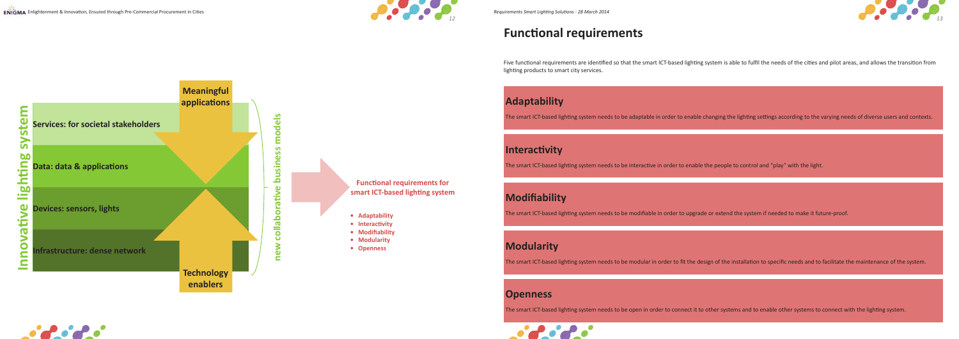



# **Functional requirements**

Five functional requirements are identified so that the smart ICT-based lighting system is able to fulfil the needs of the cities and pilot areas, and allows the transition from lighting products to smart city services.





The smart ICT-based lighting system needs to be modular in order to fit the design of the installation to specific needs and to facilitate the maintenance of the system.



# **Modifiability**

The smart ICT-based lighting system needs to be modifiable in order to upgrade or extend the system if needed to make it future-proof.

# **Interactivity**

The smart ICT-based lighting system needs to be interactive in order to enable the people to control and "play" with the light.

# **Adaptability**

The smart ICT-based lighting system needs to be adaptable in order to enable changing the lighting settings according to the varying needs of diverse users and contexts.

## **Openness**

The smart ICT-based lighting system needs to be open in order to connect it to other systems and to enable other systems to connect with the lighting system.



# **Modularity**



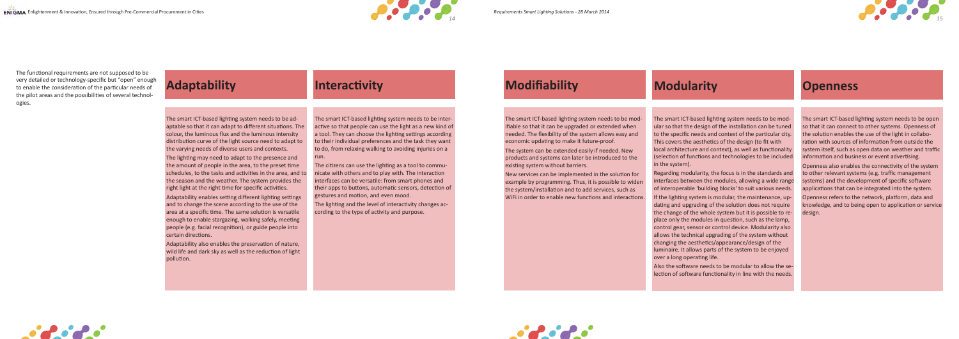

The smart ICT-based lighting system needs to be adaptable so that it can adapt to different situations. The colour, the luminous flux and the luminous intensity distribution curve of the light source need to adapt to the varying needs of diverse users and contexts.

The lighting may need to adapt to the presence and the amount of people in the area, to the preset time schedules, to the tasks and activities in the area, and to the season and the weather. The system provides the right light at the right time for specific activities. Adaptability enables setting different lighting settings and to change the scene according to the use of the area at a specific time. The same solution is versatile enough to enable stargazing, walking safely, meeting people (e.g. facial recognition), or guide people into certain directions.

Adaptability also enables the preservation of nature, wild life and dark sky as well as the reduction of light pollution.

# **Adaptability Interactivity Modifiability**

The smart ICT-based lighting system needs to be interactive so that people can use the light as a new kind of a tool. They can choose the lighting settings according to their individual preferences and the task they want to do, from relaxing walking to avoiding injuries on a run.

The citizens can use the lighting as a tool to communicate with others and to play with. The interaction interfaces can be versatile: from smart phones and their apps to buttons, automatic sensors, detection of gestures and motion, and even mood.

The lighting and the level of interactivity changes according to the type of activity and purpose.





The smart ICT-based lighting system needs to be modifiable so that it can be upgraded or extended when needed. The flexibility of the system allows easy and economic updating to make it future-proof.

The system can be extended easily if needed. New products and systems can later be introduced to the existing system without barriers.

New services can be implemented in the solution for example by programming. Thus, it is possible to widen the system/installation and to add services, such as WiFi in order to enable new functions and interactions.

The smart ICT-based lighting system needs to be modular so that the design of the installation can be tuned to the specific needs and context of the particular city. This covers the aesthetics of the design (to fit with local architecture and context), as well as functionality (selection of functions and technologies to be included in the system).

Regarding modularity, the focus is in the standards and interfaces between the modules, allowing a wide range of interoperable 'building blocks' to suit various needs. If the lighting system is modular, the maintenance, updating and upgrading of the solution does not require the change of the whole system but it is possible to replace only the modules in question, such as the lamp, control gear, sensor or control device. Modularity also allows the technical upgrading of the system without changing the aesthetics/appearance/design of the luminaire. It allows parts of the system to be enjoyed over a long operating life.

Also the software needs to be modular to allow the selection of software functionality in line with the needs.

The smart ICT-based lighting system needs to be open so that it can connect to other systems. Openness of the solution enables the use of the light in collaboration with sources of information from outside the system itself, such as open data on weather and traffic information and business or event advertising.

Openness also enables the connectivity of the system to other relevant systems (e.g. traffic management systems) and the development of specific software applications that can be integrated into the system. Openness refers to the network, platform, data and knowledge, and to being open to application or service design.



## **Modularity Openness**

The functional requirements are not supposed to be very detailed or technology-specific but "open" enough to enable the consideration of the particular needs of the pilot areas and the possibilities of several technologies.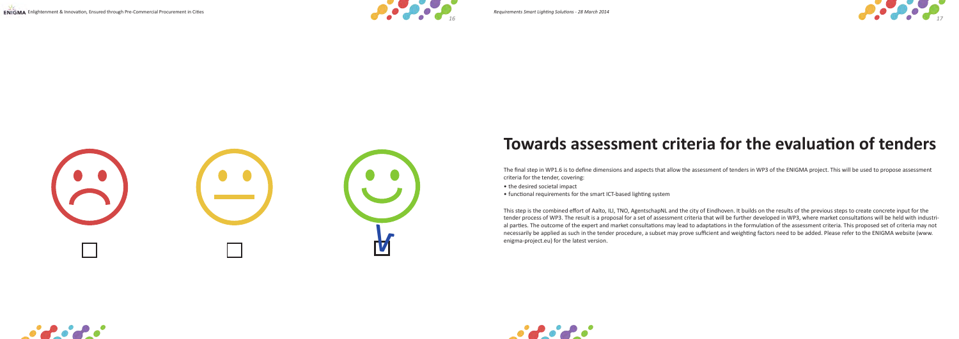

# **Towards assessment criteria for the evaluation of tenders**

The final step in WP1.6 is to define dimensions and aspects that allow the assessment of tenders in WP3 of the ENIGMA project. This will be used to propose assessment criteria for the tender, covering:

- the desired societal impact
- functional requirements for the smart ICT-based lighting system

This step is the combined effort of Aalto, ILI, TNO, AgentschapNL and the city of Eindhoven. It builds on the results of the previous steps to create concrete input for the tender process of WP3. The result is a proposal for a set of assessment criteria that will be further developed in WP3, where market consultations will be held with industrial parties. The outcome of the expert and market consultations may lead to adaptations in the formulation of the assessment criteria. This proposed set of criteria may not necessarily be applied as such in the tender procedure, a subset may prove sufficient and weighting factors need to be added. Please refer to the ENIGMA website (www.









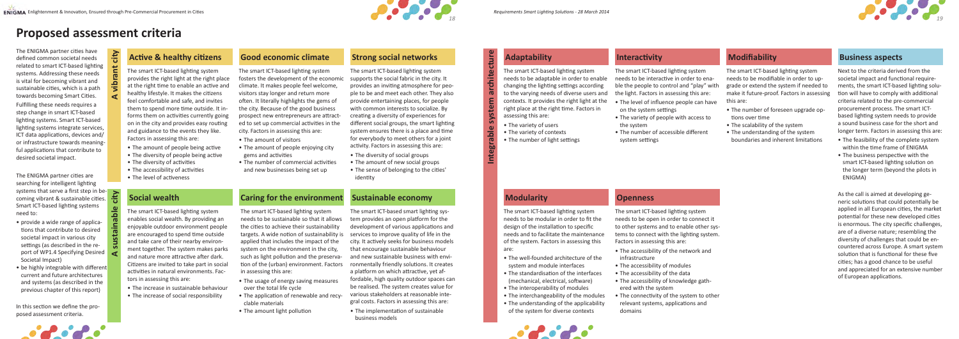

# **Proposed assessment criteria**

The ENIGMA partner cities have defined common societal needs related to smart ICT-based lighting systems. Addressing these needs is vital for becoming vibrant and sustainable cities, which is a path towards becoming Smart Cities. Fulfilling these needs requires a step change in smart ICT-based lighting systems. Smart ICT-based lighting systems integrate services, ICT data applications, devices and/ or infrastructure towards meaningful applications that contribute to desired societal impact.

The ENIGMA partner cities are searching for intelligent lighting systems that serve a first step in becoming vibrant & sustainable cities. Smart ICT-based lighting systems need to:

- provide a wide range of applications that contribute to desired societal impact in various city settings (as described in the report of WP1.4 Specifying Desired Societal Impact)
- be highly integrable with different current and future architectures and systems (as described in the previous chapter of this report)

In this section we define the proposed assessment criteria.



### Active & healthy citizens **Good economic climate** Strong social networks **Business** Adaptability **Business aspects** aspects aspects

The smart ICT-based lighting system provides the right light at the right place at the right time to enable an active and healthy lifestyle. It makes the citizens feel comfortable and safe, and invites them to spend more time outside. It informs them on activities currently going on in the city and provides easy routing and guidance to the events they like. Factors in assessing this are:

- The amount of people being active
- The diversity of people being active
- The diversity of activities
- The accessibility of activities
- The level of activeness

The smart ICT-based lighting system fosters the development of the economic climate. It makes people feel welcome, visitors stay longer and return more often. It literally highlights the gems of the city. Because of the good business prospect new entrepreneurs are attracted to set up commercial activities in the city. Factors in assessing this are:

- The amount of visitors
- The amount of people enjoying city gems and activities
- The number of commercial activities and new businesses being set up

# **Strong social networks Adaptability**

The smart ICT-based lighting system supports the social fabric in the city. It provides an inviting atmosphere for people to be and meet each other. They also provide entertaining places, for people with common interests to socialize. By creating a diversity of experiences for different social groups, the smart lighting system ensures there is a place and time for everybody to meet others for a joint activity. Factors in assessing this are:

- The diversity of social groups
- The amount of new social groups
- The sense of belonging to the cities' identity

The smart ICT-based lighting system needs to be adaptable in order to enable changing the lighting settings according to the varying needs of diverse users and contexts. It provides the right light at the right place at the right time. Factors in assessing this are:

- The variety of users
- The variety of contexts
- The number of light settings

The smart ICT-based lighting system needs to be modular in order to fit the design of the installation to specific needs and to facilitate the maintenance of the system. Factors in assessing this are:

• The well-founded architecture of the system and module interfaces • The standardisation of the interfaces (mechanical, electrical, software) • The interoperability of modules • The interchangeability of the modules • The understanding of the applicability of the system for diverse contexts

**Salara** 

The smart ICT-based lighting system needs to be interactive in order to enable the people to control and "play" with the light. Factors in assessing this are:

- The level of influence people can have on the system settings
- The variety of people with access to the system
- The number of accessible different system settings

The smart ICT-based lighting system needs to be open in order to connect it to other systems and to enable other systems to connect with the lighting system. Factors in assessing this are:

- The accessibility of the network and infrastructure
- The accessibility of modules
- The accessibility of the data
- The accessibility of knowledge gathered with the system
- The connectivity of the system to other relevant systems, applications and domains

The smart ICT-based lighting system needs to be modifiable in order to upgrade or extend the system if needed to make it future-proof. Factors in assessing this are:

- The number of foreseen upgrade options over time
- The scalability of the system
- The understanding of the system boundaries and inherent limitations

Next to the criteria derived from the societal impact and functional requirements, the smart ICT-based lighting solution will have to comply with additional criteria related to the pre-commercial procurement process. The smart ICTbased lighting system needs to provide a sound business case for the short and longer term. Factors in assessing this are:

- The feasibility of the complete system within the time frame of ENIGMA
- The business perspective with the smart ICT-based lighting solution on the longer term (beyond the pilots in ENIGMA)

As the call is aimed at developing generic solutions that could potentially be applied in all European cities, the market potential for these new developed cities is enormous. The city specific challenges, are of a diverse nature; resembling the diversity of challenges that could be encountered across Europe. A smart system solution that is functional for these five cities; has a good chance to be useful and appreciated for an extensive number of European applications.

The smart ICT-based lighting system enables social wealth. By providing an enjoyable outdoor environment people are encouraged to spend time outside and take care of their nearby environment together. The system makes parks and nature more attractive after dark. Citizens are invited to take part in social activities in natural environments. Factors in assessing this are:

- The increase in sustainable behaviour
- The increase of social responsibility

The smart ICT-based lighting system needs to be sustainable so that it allows the cities to achieve their sustainability targets. A wide notion of sustainability is applied that includes the impact of the system on the environment in the city, such as light pollution and the preservation of the (urban) environment. Factors in assessing this are:

- The usage of energy saving measures over the total life cycle
- The application of renewable and recyclable materials
- The amount light pollution

The smart ICT-based smart lighting system provides an open platform for the development of various applications and services to improve quality of life in the city. It actively seeks for business models that encourage sustainable behaviour and new sustainable business with environmentally friendly solutions. It creates a platform on which attractive, yet affordable, high quality outdoor spaces can be realised. The system creates value for various stakeholders at reasonable integral costs. Factors in assessing this are:

• The implementation of sustainable business models

### **Modularity**

### **Interactivity**

### **Openness**

**A vibrant city**

**Integrable system architecture**

**A sustainable city**



## **Social wealth Caring for the environment Sustainable economy**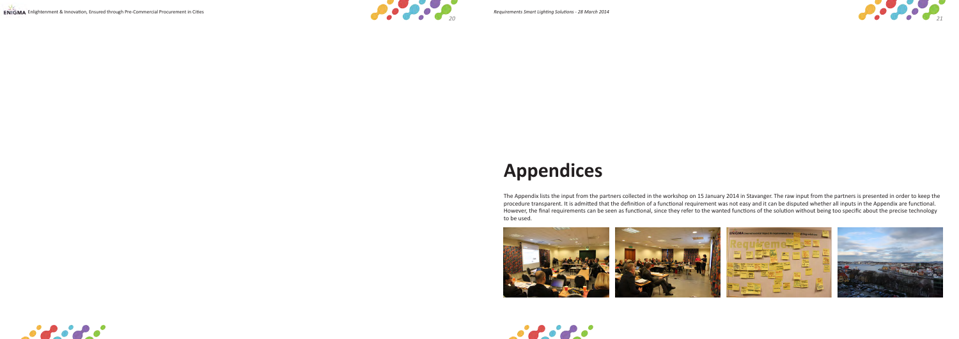

# **Appendices**







The Appendix lists the input from the partners collected in the workshop on 15 January 2014 in Stavanger. The raw input from the partners is presented in order to keep the procedure transparent. It is admitted that the definition of a functional requirement was not easy and it can be disputed whether all inputs in the Appendix are functional. However, the final requirements can be seen as functional, since they refer to the wanted functions of the solution without being too specific about the precise technology to be used.

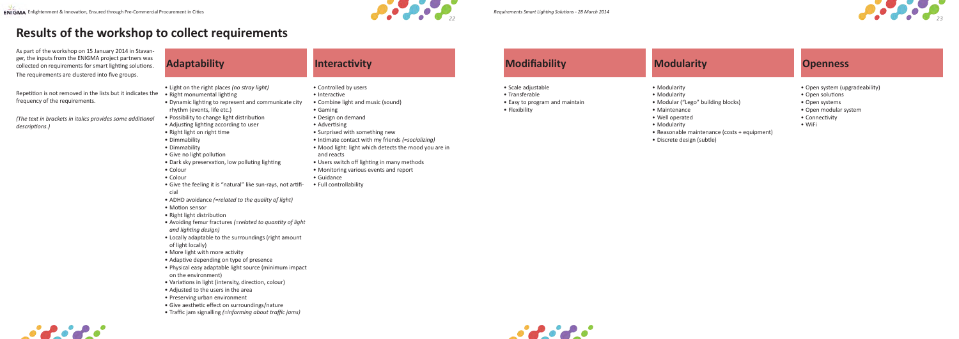

# **Adaptability Interactivity Modifiability Modularity Openness**

- Light on the right places *(no stray light)*
- Right monumental lighting
- Dynamic lighting to represent and communicate city rhythm (events, life etc.)
- Possibility to change light distribution
- Adjusting lighting according to user
- Right light on right time
- Dimmability
- Dimmability
- Give no light pollution
- Dark sky preservation, low polluting lighting
- Colour
- Colour
- Give the feeling it is "natural" like sun-rays, not artificial
- ADHD avoidance *(=related to the quality of light)*
- Motion sensor
- Right light distribution
- Avoiding femur fractures *(=related to quantity of light and lighting design)*
- Locally adaptable to the surroundings (right amount of light locally)
- More light with more activity
- Adaptive depending on type of presence
- Physical easy adaptable light source (minimum impact on the environment)
- Variations in light (intensity, direction, colour)
- Adjusted to the users in the area
- Preserving urban environment
- Give aesthetic effect on surroundings/nature
- Traffic jam signalling *(=informing about traffic jams)*

- Controlled by users
- Interactive
- Combine light and music (sound)
- Gaming
- Design on demand
- Advertising
- Surprised with something new
- Intimate contact with my friends *(=socializing)*
- Mood light: light which detects the mood you are in and reacts
- Users switch off lighting in many methods
- Monitoring various events and report
- Guidance
- Full controllability





- Scale adjustable
- Transferable
- Easy to program and maintain • Flexibility



- Modularity
- Modularity
- Modular ("Lego" building blocks)
- Maintenance
- Well operated
- Modularity
- Reasonable maintenance (costs + equipment)
- Discrete design (subtle)

- Open system (upgradeability)
- Open solutions
- Open systems
- Open modular system
- Connectivity
- WiFi

As part of the workshop on 15 January 2014 in Stavanger, the inputs from the ENIGMA project partners was collected on requirements for smart lighting solutions. The requirements are clustered into five groups.

Repetition is not removed in the lists but it indicates the frequency of the requirements.

*(The text in brackets in italics provides some additional descriptions.)*

# **Results of the workshop to collect requirements**